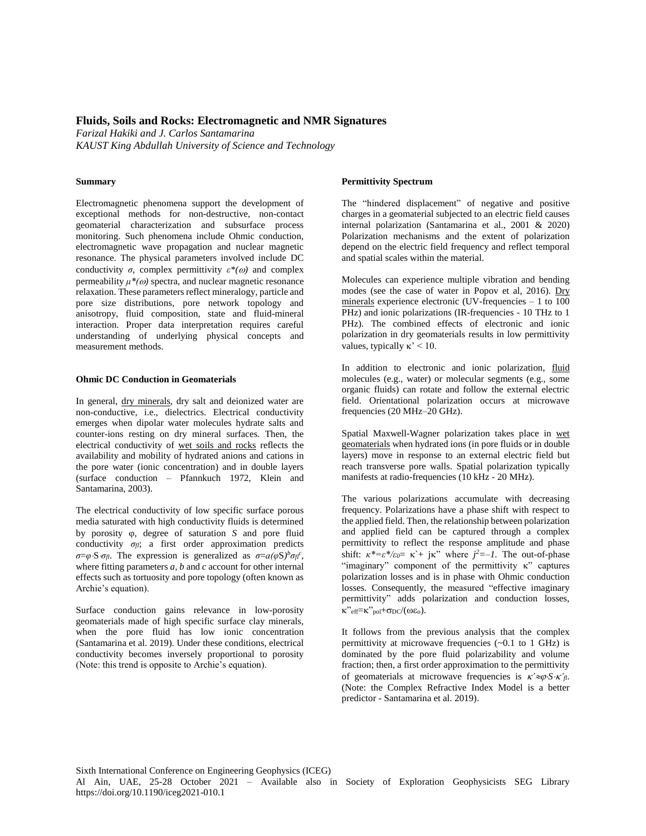# **Fluids, Soils and Rocks: Electromagnetic and NMR Signatures**

*Farizal Hakiki and J. Carlos Santamarina KAUST King Abdullah University of Science and Technology*

### **Summary**

Electromagnetic phenomena support the development of exceptional methods for non-destructive, non-contact geomaterial characterization and subsurface process monitoring. Such phenomena include Ohmic conduction, electromagnetic wave propagation and nuclear magnetic resonance. The physical parameters involved include DC conductivity  $\sigma$ , complex permittivity  $\varepsilon^*(\omega)$  and complex permeability  $\mu^*(\omega)$  spectra, and nuclear magnetic resonance relaxation. These parameters reflect mineralogy, particle and pore size distributions, pore network topology and anisotropy, fluid composition, state and fluid-mineral interaction. Proper data interpretation requires careful understanding of underlying physical concepts and measurement methods.

### **Ohmic DC Conduction in Geomaterials**

In general, dry minerals, dry salt and deionized water are non-conductive, i.e., dielectrics. Electrical conductivity emerges when dipolar water molecules hydrate salts and counter-ions resting on dry mineral surfaces. Then, the electrical conductivity of wet soils and rocks reflects the availability and mobility of hydrated anions and cations in the pore water (ionic concentration) and in double layers (surface conduction – Pfannkuch 1972, Klein and Santamarina, 2003).

The electrical conductivity of low specific surface porous media saturated with high conductivity fluids is determined by porosity  $\varphi$ , degree of saturation *S* and pore fluid conductivity  $\sigma_{\theta}$ ; a first order approximation predicts  $\sigma = \varphi \cdot S \cdot \sigma_f$ . The expression is generalized as  $\sigma = a(\varphi S)^b \sigma_f c$ , where fitting parameters *a, b* and *c* account for other internal effects such as tortuosity and pore topology (often known as Archie's equation).

Surface conduction gains relevance in low-porosity geomaterials made of high specific surface clay minerals, when the pore fluid has low ionic concentration (Santamarina et al. 2019). Under these conditions, electrical conductivity becomes inversely proportional to porosity (Note: this trend is opposite to Archie's equation).

## **Permittivity Spectrum**

The "hindered displacement" of negative and positive charges in a geomaterial subjected to an electric field causes internal polarization (Santamarina et al., 2001 & 2020) Polarization mechanisms and the extent of polarization depend on the electric field frequency and reflect temporal and spatial scales within the material.

Molecules can experience multiple vibration and bending modes (see the case of water in Popov et al, 2016). Dry minerals experience electronic (UV-frequencies – 1 to 100 PHz) and ionic polarizations (IR-frequencies - 10 THz to 1 PHz). The combined effects of electronic and ionic polarization in dry geomaterials results in low permittivity values, typically  $\kappa' < 10$ .

In addition to electronic and ionic polarization, fluid molecules (e.g., water) or molecular segments (e.g., some organic fluids) can rotate and follow the external electric field. Orientational polarization occurs at microwave frequencies (20 MHz–20 GHz).

Spatial Maxwell-Wagner polarization takes place in wet geomaterials when hydrated ions (in pore fluids or in double layers) move in response to an external electric field but reach transverse pore walls. Spatial polarization typically manifests at radio-frequencies (10 kHz - 20 MHz).

The various polarizations accumulate with decreasing frequency. Polarizations have a phase shift with respect to the applied field. Then, the relationship between polarization and applied field can be captured through a complex permittivity to reflect the response amplitude and phase shift:  $\kappa^* = \varepsilon^* / \varepsilon_0 = \kappa^2 + j \kappa$ " where  $j^2 = -1$ . The out-of-phase "imaginary" component of the permittivity  $\kappa$ " captures polarization losses and is in phase with Ohmic conduction losses. Consequently, the measured "effective imaginary permittivity" adds polarization and conduction losses,  $\kappa$ "eff= $\kappa$ "pol+ $\sigma$ DC $/(\omega \epsilon_0)$ .

It follows from the previous analysis that the complex permittivity at microwave frequencies (~0.1 to 1 GHz) is dominated by the pore fluid polarizability and volume fraction; then, a first order approximation to the permittivity of geomaterials at microwave frequencies is  $\kappa' \approx \varphi \cdot S \cdot \kappa' \eta$ . (Note: the Complex Refractive Index Model is a better predictor - Santamarina et al. 2019).

Sixth International Conference on Engineering Geophysics (ICEG) Al Ain, UAE, 25-28 October 2021 – Available also in Society of Exploration Geophysicists SEG Library https://doi.org/10.1190/iceg2021-010.1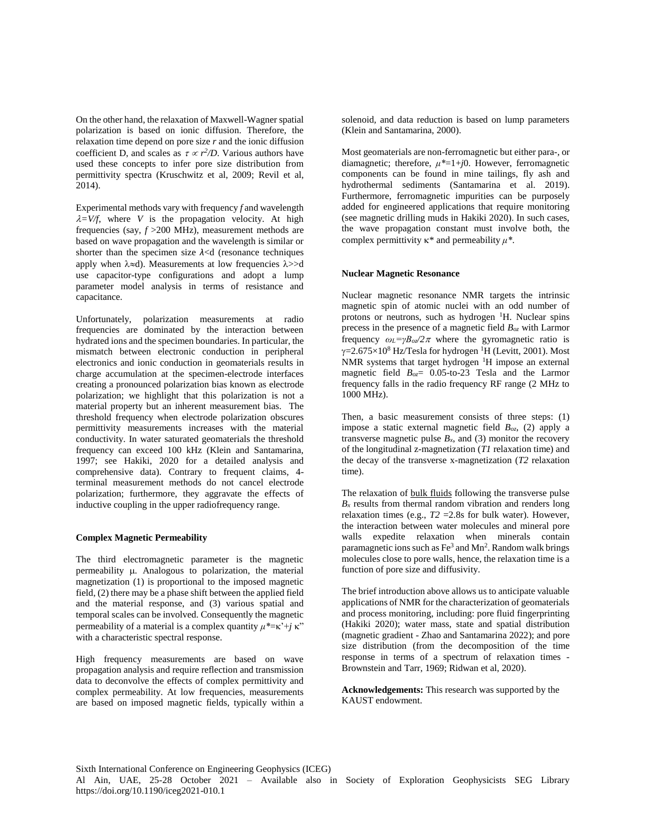On the other hand, the relaxation of Maxwell-Wagner spatial polarization is based on ionic diffusion. Therefore, the relaxation time depend on pore size *r* and the ionic diffusion coefficient D, and scales as  $\tau \propto r^2/D$ . Various authors have used these concepts to infer pore size distribution from permittivity spectra (Kruschwitz et al, 2009; Revil et al, 2014).

Experimental methods vary with frequency *f* and wavelength  $\lambda = V/f$ , where *V* is the propagation velocity. At high frequencies (say, *f* >200 MHz), measurement methods are based on wave propagation and the wavelength is similar or shorter than the specimen size *λ*<d (resonance techniques apply when  $\lambda \approx d$ ). Measurements at low frequencies  $\lambda \gg d$ use capacitor-type configurations and adopt a lump parameter model analysis in terms of resistance and capacitance.

Unfortunately, polarization measurements at radio frequencies are dominated by the interaction between hydrated ions and the specimen boundaries. In particular, the mismatch between electronic conduction in peripheral electronics and ionic conduction in geomaterials results in charge accumulation at the specimen-electrode interfaces creating a pronounced polarization bias known as electrode polarization; we highlight that this polarization is not a material property but an inherent measurement bias. The threshold frequency when electrode polarization obscures permittivity measurements increases with the material conductivity. In water saturated geomaterials the threshold frequency can exceed 100 kHz (Klein and Santamarina, 1997; see Hakiki, 2020 for a detailed analysis and comprehensive data). Contrary to frequent claims, 4 terminal measurement methods do not cancel electrode polarization; furthermore, they aggravate the effects of inductive coupling in the upper radiofrequency range.

#### **Complex Magnetic Permeability**

The third electromagnetic parameter is the magnetic permeability  $\mu$ . Analogous to polarization, the material magnetization (1) is proportional to the imposed magnetic field, (2) there may be a phase shift between the applied field and the material response, and (3) various spatial and temporal scales can be involved. Consequently the magnetic permeability of a material is a complex quantity  $\mu^* = \kappa^* + j \kappa$ " with a characteristic spectral response.

High frequency measurements are based on wave propagation analysis and require reflection and transmission data to deconvolve the effects of complex permittivity and complex permeability. At low frequencies, measurements are based on imposed magnetic fields, typically within a solenoid*,* and data reduction is based on lump parameters (Klein and Santamarina, 2000).

Most geomaterials are non-ferromagnetic but either para-, or diamagnetic; therefore, *μ\**=1+*j*0. However, ferromagnetic components can be found in mine tailings, fly ash and hydrothermal sediments (Santamarina et al. 2019). Furthermore, ferromagnetic impurities can be purposely added for engineered applications that require monitoring (see magnetic drilling muds in Hakiki 2020). In such cases, the wave propagation constant must involve both, the complex permittivity  $\kappa^*$  and permeability  $\mu^*$ .

### **Nuclear Magnetic Resonance**

Nuclear magnetic resonance NMR targets the intrinsic magnetic spin of atomic nuclei with an odd number of protons or neutrons, such as hydrogen <sup>1</sup>H. Nuclear spins precess in the presence of a magnetic field *Boz* with Larmor frequency  $\omega_L = \gamma B_0 \sqrt{2\pi}$  where the gyromagnetic ratio is  $\gamma$ =2.675×10<sup>8</sup> Hz/Tesla for hydrogen <sup>1</sup>H (Levitt, 2001). Most NMR systems that target hydrogen  ${}^{1}H$  impose an external magnetic field *Boz*= 0.05-to-23 Tesla and the Larmor frequency falls in the radio frequency RF range (2 MHz to 1000 MHz).

Then, a basic measurement consists of three steps: (1) impose a static external magnetic field *Boz*, (2) apply a transverse magnetic pulse  $B_x$ , and (3) monitor the recovery of the longitudinal z-magnetization (*T1* relaxation time) and the decay of the transverse x-magnetization (*T2* relaxation time).

The relaxation of bulk fluids following the transverse pulse  $B_x$  results from thermal random vibration and renders long relaxation times (e.g.,  $T2 = 2.8$ s for bulk water). However, the interaction between water molecules and mineral pore walls expedite relaxation when minerals contain paramagnetic ions such as Fe<sup>3</sup> and Mn<sup>2</sup>. Random walk brings molecules close to pore walls, hence, the relaxation time is a function of pore size and diffusivity.

The brief introduction above allows us to anticipate valuable applications of NMR for the characterization of geomaterials and process monitoring, including: pore fluid fingerprinting (Hakiki 2020); water mass, state and spatial distribution (magnetic gradient - Zhao and Santamarina 2022); and pore size distribution (from the decomposition of the time response in terms of a spectrum of relaxation times - Brownstein and Tarr, 1969; Ridwan et al, 2020).

**Acknowledgements:** This research was supported by the KAUST endowment.

Sixth International Conference on Engineering Geophysics (ICEG) Al Ain, UAE, 25-28 October 2021 – Available also in Society of Exploration Geophysicists SEG Library https://doi.org/10.1190/iceg2021-010.1